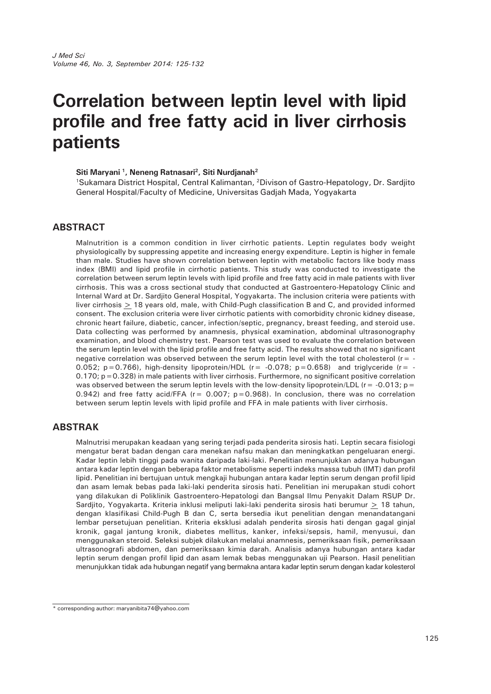# **Correlation between leptin level with lipid profile and free fatty acid in liver cirrhosis patients**

#### Siti Maryani<sup>1</sup>, Neneng Ratnasari<sup>2</sup>, Siti Nurdjanah<sup>2</sup>

1Sukamara District Hospital, Central Kalimantan, 2Divison of Gastro-Hepatology, Dr. Sardjito General Hospital/Faculty of Medicine, Universitas Gadjah Mada, Yogyakarta

## **ABSTRACT**

Malnutrition is a common condition in liver cirrhotic patients. Leptin regulates body weight physiologically by suppressing appetite and increasing energy expenditure. Leptin is higher in female than male. Studies have shown correlation between leptin with metabolic factors like body mass index (BMI) and lipid profile in cirrhotic patients. This study was conducted to investigate the correlation between serum leptin levels with lipid profile and free fatty acid in male patients with liver cirrhosis. This was a cross sectional study that conducted at Gastroentero-Hepatology Clinic and Internal Ward at Dr. Sardjito General Hospital, Yogyakarta. The inclusion criteria were patients with liver cirrhosis > 18 years old, male, with Child-Pugh classification B and C, and provided informed consent. The exclusion criteria were liver cirrhotic patients with comorbidity chronic kidney disease, chronic heart failure, diabetic, cancer, infection/septic, pregnancy, breast feeding, and steroid use. Data collecting was performed by anamnesis, physical examination, abdominal ultrasonography examination, and blood chemistry test. Pearson test was used to evaluate the correlation between the serum leptin level with the lipid profile and free fatty acid. The results showed that no significant negative correlation was observed between the serum leptin level with the total cholesterol ( $r = -$ 0.052;  $p=0.766$ ), high-density lipoprotein/HDL ( $r=-0.078$ ;  $p=0.658$ ) and triglyceride ( $r=-$ 0.170; p=0.328) in male patients with liver cirrhosis. Furthermore, no significant positive correlation was observed between the serum leptin levels with the low-density lipoprotein/LDL ( $r = -0.013$ ;  $p =$ 0.942) and free fatty acid/FFA ( $r = 0.007$ ;  $p = 0.968$ ). In conclusion, there was no correlation between serum leptin levels with lipid profile and FFA in male patients with liver cirrhosis.

## **ABSTRAK**

Malnutrisi merupakan keadaan yang sering terjadi pada penderita sirosis hati. Leptin secara fisiologi mengatur berat badan dengan cara menekan nafsu makan dan meningkatkan pengeluaran energi. Kadar leptin lebih tinggi pada wanita daripada laki-laki. Penelitian menunjukkan adanya hubungan antara kadar leptin dengan beberapa faktor metabolisme seperti indeks massa tubuh (IMT) dan profil lipid. Penelitian ini bertujuan untuk mengkaji hubungan antara kadar leptin serum dengan profil lipid dan asam lemak bebas pada laki-laki penderita sirosis hati. Penelitian ini merupakan studi cohort yang dilakukan di Poliklinik Gastroentero-Hepatologi dan Bangsal Ilmu Penyakit Dalam RSUP Dr. Sardjito, Yogyakarta. Kriteria inklusi meliputi laki-laki penderita sirosis hati berumur > 18 tahun, dengan klasifikasi Child-Pugh B dan C, serta bersedia ikut penelitian dengan menandatangani lembar persetujuan penelitian. Kriteria eksklusi adalah penderita sirosis hati dengan gagal ginjal kronik, gagal jantung kronik, diabetes mellitus, kanker, infeksi/sepsis, hamil, menyusui, dan menggunakan steroid. Seleksi subjek dilakukan melalui anamnesis, pemeriksaan fisik, pemeriksaan ultrasonografi abdomen, dan pemeriksaan kimia darah. Analisis adanya hubungan antara kadar leptin serum dengan profil lipid dan asam lemak bebas menggunakan uji Pearson. Hasil penelitian menunjukkan tidak ada hubungan negatif yang bermakna antara kadar leptin serum dengan kadar kolesterol

<sup>\*</sup> corresponding author: maryanibita74@yahoo.com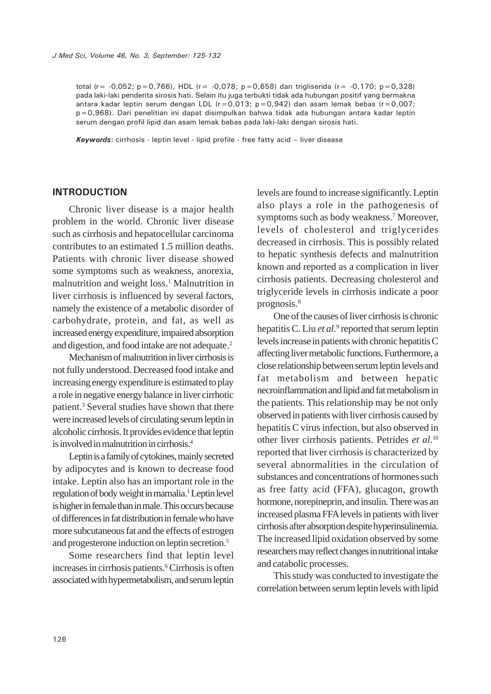total (r=  $-0.052$ ; p=0,766), HDL (r=  $-0.078$ ; p=0,658) dan trigliserida (r=  $-0.170$ ; p=0,328) pada laki-laki penderita sirosis hati. Selain itu juga terbukti tidak ada hubungan positif yang bermakna antara kadar leptin serum dengan LDL ( $r=0.013$ ;  $p=0.942$ ) dan asam lemak bebas ( $r=0.007$ ; p=0,968). Dari penelitian ini dapat disimpulkan bahwa tidak ada hubungan antara kadar leptin serum dengan profil lipid dan asam lemak bebas pada laki-laki dengan sirosis hati.

*Keywords*: cirrhosis - leptin level - lipid profile - free fatty acid – liver disease

#### **INTRODUCTION**

Chronic liver disease is a major health problem in the world. Chronic liver disease such as cirrhosis and hepatocellular carcinoma contributes to an estimated 1.5 million deaths. Patients with chronic liver disease showed some symptoms such as weakness, anorexia, malnutrition and weight loss.<sup>1</sup> Malnutrition in liver cirrhosis is influenced by several factors, namely the existence of a metabolic disorder of carbohydrate, protein, and fat, as well as increased energy expenditure, impaired absorption and digestion, and food intake are not adequate.<sup>2</sup>

Mechanism of malnutrition in liver cirrhosis is not fully understood. Decreased food intake and increasing energy expenditure is estimated to play a role in negative energy balance in liver cirrhotic patient.<sup>3</sup> Several studies have shown that there were increased levels of circulating serum leptin in alcoholic cirrhosis. It provides evidence that leptin is involved in malnutrition in cirrhosis.4

Leptin is a family of cytokines, mainly secreted by adipocytes and is known to decrease food intake. Leptin also has an important role in the regulation of body weight in mamalia.<sup>1</sup> Leptin level is higher in female than in male. This occurs because of differences in fat distribution in female who have more subcutaneous fat and the effects of estrogen and progesterone induction on leptin secretion.5

Some researchers find that leptin level increases in cirrhosis patients.<sup>6</sup> Cirrhosis is often associated with hypermetabolism, and serum leptin

levels are found to increase significantly. Leptin also plays a role in the pathogenesis of symptoms such as body weakness.<sup>7</sup> Moreover, levels of cholesterol and triglycerides decreased in cirrhosis. This is possibly related to hepatic synthesis defects and malnutrition known and reported as a complication in liver cirrhosis patients. Decreasing cholesterol and triglyceride levels in cirrhosis indicate a poor prognosis.8

One of the causes of liver cirrhosis is chronic hepatitis C. Liu *et al*.<sup>9</sup> reported that serum leptin levels increase in patients with chronic hepatitis C affecting liver metabolic functions. Furthermore, a close relationship between serum leptin levels and fat metabolism and between hepatic necroinflammation and lipid and fat metabolism in the patients. This relationship may be not only observed in patients with liver cirrhosis caused by hepatitis C virus infection, but also observed in other liver cirrhosis patients. Petrides *et al*. 10 reported that liver cirrhosis is characterized by several abnormalities in the circulation of substances and concentrations of hormones such as free fatty acid (FFA), glucagon, growth hormone, norepineprin, and insulin. There was an increased plasma FFA levels in patients with liver cirrhosis after absorption despite hyperinsulinemia. The increased lipid oxidation observed by some researchers may reflect changes in nutritional intake and catabolic processes.

This study was conducted to investigate the correlation between serum leptin levels with lipid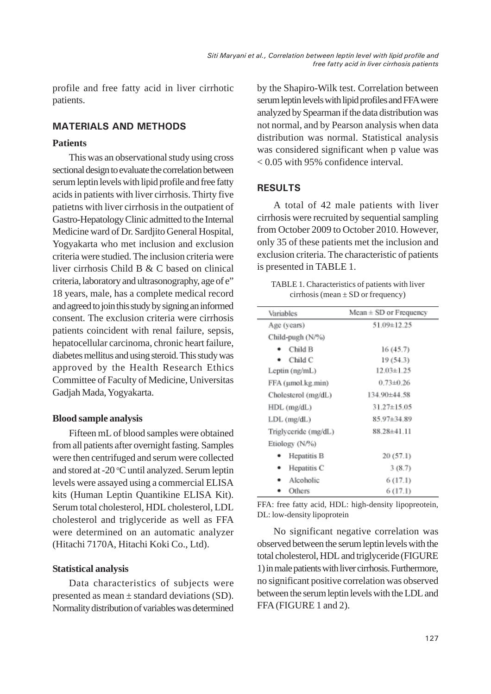profile and free fatty acid in liver cirrhotic patients.

# **MATERIALS AND METHODS**

# **Patients**

This was an observational study using cross sectional design to evaluate the correlation between serum leptin levels with lipid profile and free fatty acids in patients with liver cirrhosis. Thirty five patietns with liver cirrhosis in the outpatient of Gastro-Hepatology Clinic admitted to the Internal Medicine ward of Dr. Sardjito General Hospital, Yogyakarta who met inclusion and exclusion criteria were studied. The inclusion criteria were liver cirrhosis Child B & C based on clinical criteria, laboratory and ultrasonography, age of e" 18 years, male, has a complete medical record and agreed to join this study by signing an informed consent. The exclusion criteria were cirrhosis patients coincident with renal failure, sepsis, hepatocellular carcinoma, chronic heart failure, diabetes mellitus and using steroid. This study was approved by the Health Research Ethics Committee of Faculty of Medicine, Universitas Gadjah Mada, Yogyakarta.

## **Blood sample analysis**

Fifteen mL of blood samples were obtained from all patients after overnight fasting. Samples were then centrifuged and serum were collected and stored at -20 °C until analyzed. Serum leptin levels were assayed using a commercial ELISA kits (Human Leptin Quantikine ELISA Kit). Serum total cholesterol, HDL cholesterol, LDL cholesterol and triglyceride as well as FFA were determined on an automatic analyzer (Hitachi 7170A, Hitachi Koki Co., Ltd).

# **Statistical analysis**

Data characteristics of subjects were presented as mean ± standard deviations (SD). Normality distribution of variables was determined by the Shapiro-Wilk test. Correlation between serum leptin levels with lipid profiles and FFA were analyzed by Spearman if the data distribution was not normal, and by Pearson analysis when data distribution was normal. Statistical analysis was considered significant when p value was < 0.05 with 95% confidence interval.

# **RESULTS**

A total of 42 male patients with liver cirrhosis were recruited by sequential sampling from October 2009 to October 2010. However, only 35 of these patients met the inclusion and exclusion criteria. The characteristic of patients is presented in TABLE 1.

| TABLE 1. Characteristics of patients with liver |  |
|-------------------------------------------------|--|
| cirrhosis (mean $\pm$ SD or frequency)          |  |

| Variables            | $Mean \pm SD$ or Frequency |
|----------------------|----------------------------|
| Age (years)          | 51.09±12.25                |
| Child-pugh (N/%)     |                            |
| Child B              | 16(45.7)                   |
| Child C              | 19 (54.3)                  |
| Leptin (ng/mL)       | $12.03 \pm 1.25$           |
| FFA (µmol.kg.min)    | $0.73 + 0.26$              |
| Cholesterol (mg/dL)  | 134.90±44.58               |
| HDL (mg/dL)          | 31.27±15.05                |
| LDL (mg/dL)          | 85.97±34.89                |
| Triglyceride (mg/dL) | 88.28±41.11                |
| Etiology (N/%)       |                            |
| Hepatitis B          | 20(57.1)                   |
| Hepatitis C          | 3(8.7)                     |
| Alcoholic            | 6(17.1)                    |
| Others               | 6 (17.1)                   |

FFA: free fatty acid, HDL: high-density lipopreotein, DL: low-density lipoprotein

No significant negative correlation was observed between the serum leptin levels with the total cholesterol, HDL and triglyceride (FIGURE 1) in male patients with liver cirrhosis. Furthermore, no significant positive correlation was observed between the serum leptin levels with the LDL and FFA (FIGURE 1 and 2).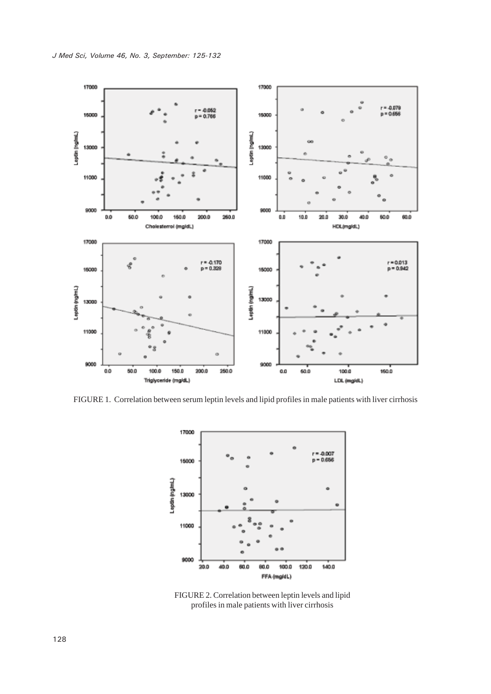

FIGURE 1. Correlation between serum leptin levels and lipid profiles in male patients with liver cirrhosis



FIGURE 2. Correlation between leptin levels and lipid profiles in male patients with liver cirrhosis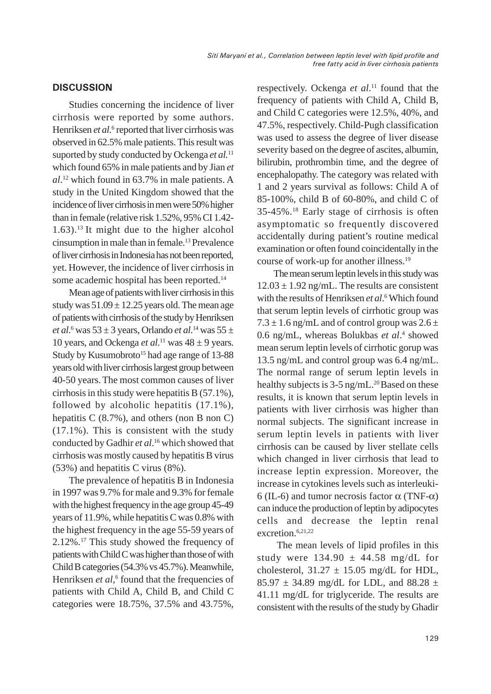## **DISCUSSION**

Studies concerning the incidence of liver cirrhosis were reported by some authors. Henriksen et al.<sup>6</sup> reported that liver cirrhosis was observed in 62.5% male patients. This result was suported by study conducted by Ockenga *et al.*<sup>11</sup> which found 65% in male patients and by Jian *et al*. 12 which found in 63.7% in male patients. A study in the United Kingdom showed that the incidence of liver cirrhosis in men were 50% higher than in female (relative risk 1.52%, 95% CI 1.42-  $1.63$ ).<sup>13</sup> It might due to the higher alcohol cinsumption in male than in female.13 Prevalence of liver cirrhosis in Indonesia has not been reported, yet. However, the incidence of liver cirrhosis in some academic hospital has been reported.<sup>14</sup>

Mean age of patients with liver cirrhosis in this study was  $51.09 \pm 12.25$  years old. The mean age of patients with cirrhosis of the study by Henriksen *et al*. 6 was 53 ± 3 years, Orlando *et al*. 14 was 55 ± 10 years, and Ockenga *et al*.<sup>11</sup> was  $48 \pm 9$  years. Study by Kusumobroto<sup>15</sup> had age range of 13-88 years old with liver cirrhosis largest group between 40-50 years.The most common causes of liver cirrhosis in this study were hepatitis B (57.1%), followed by alcoholic hepatitis (17.1%), hepatitis C (8.7%), and others (non B non C) (17.1%). This is consistent with the study conducted by Gadhir *et al*. 16 which showed that cirrhosis was mostly caused by hepatitis B virus (53%) and hepatitis C virus (8%).

The prevalence of hepatitis B in Indonesia in 1997 was 9.7% for male and 9.3% for female with the highest frequency in the age group 45-49 years of 11.9%, while hepatitis C was 0.8% with the highest frequency in the age 55-59 years of 2.12%.17 This study showed the frequency of patients with Child C was higher than those of with Child B categories (54.3% vs 45.7%). Meanwhile, Henriksen et al,<sup>6</sup> found that the frequencies of patients with Child A, Child B, and Child C categories were 18.75%, 37.5% and 43.75%,

respectively. Ockenga *et al*. 11 found that the frequency of patients with Child A, Child B, and Child C categories were 12.5%, 40%, and 47.5%, respectively. Child-Pugh classification was used to assess the degree of liver disease severity based on the degree of ascites, albumin, bilirubin, prothrombin time, and the degree of encephalopathy. The category was related with 1 and 2 years survival as follows: Child A of 85-100%, child B of 60-80%, and child C of 35-45%.18 Early stage of cirrhosis is often asymptomatic so frequently discovered accidentally during patient's routine medical examination or often found coincidentally in the course of work-up for another illness.19

The mean serum leptin levels in this study was  $12.03 \pm 1.92$  ng/mL. The results are consistent with the results of Henriksen et al.<sup>6</sup> Which found that serum leptin levels of cirrhotic group was  $7.3 \pm 1.6$  ng/mL and of control group was  $2.6 \pm 1.6$ 0.6 ng/mL, whereas Bolukbas et al.<sup>4</sup> showed mean serum leptin levels of cirrhotic gorup was 13.5 ng/mL and control group was 6.4 ng/mL. The normal range of serum leptin levels in healthy subjects is  $3-5$  ng/mL.<sup>20</sup> Based on these results, it is known that serum leptin levels in patients with liver cirrhosis was higher than normal subjects. The significant increase in serum leptin levels in patients with liver cirrhosis can be caused by liver stellate cells which changed in liver cirrhosis that lead to increase leptin expression. Moreover, the increase in cytokines levels such as interleuki-6 (IL-6) and tumor necrosis factor  $\alpha$  (TNF- $\alpha$ ) can induce the production of leptin by adipocytes cells and decrease the leptin renal excretion.<sup>6,21,22</sup>

 The mean levels of lipid profiles in this study were  $134.90 \pm 44.58$  mg/dL for cholesterol,  $31.27 \pm 15.05$  mg/dL for HDL, 85.97  $\pm$  34.89 mg/dL for LDL, and 88.28  $\pm$ 41.11 mg/dL for triglyceride. The results are consistent with the results of the study by Ghadir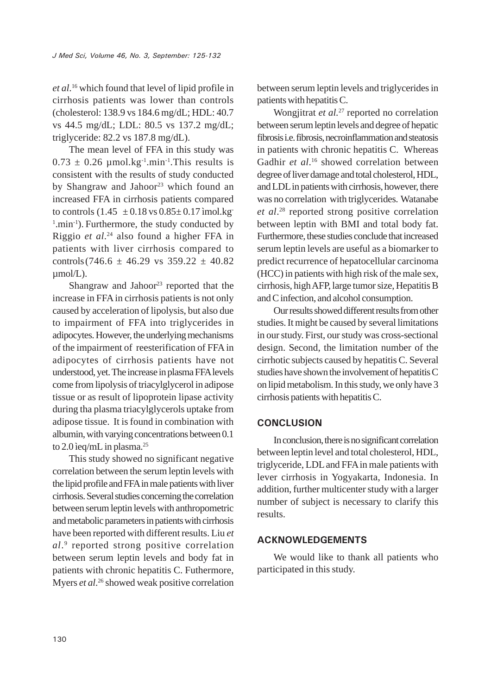*et al*. 16 which found that level of lipid profile in cirrhosis patients was lower than controls (cholesterol: 138.9 vs 184.6 mg/dL; HDL: 40.7 vs 44.5 mg/dL; LDL: 80.5 vs 137.2 mg/dL; triglyceride: 82.2 vs 187.8 mg/dL).

The mean level of FFA in this study was  $0.73 \pm 0.26$  µmol.kg<sup>-1</sup>.min<sup>-1</sup>.This results is consistent with the results of study conducted by Shangraw and Jahoor<sup>23</sup> which found an increased FFA in cirrhosis patients compared to controls  $(1.45 \pm 0.18 \text{ vs } 0.85 \pm 0.17 \text{ imol.kg})$ <sup>1</sup>.min<sup>-1</sup>). Furthermore, the study conducted by Riggio *et al*. 24 also found a higher FFA in patients with liver cirrhosis compared to controls(746.6  $\pm$  46.29 vs 359.22  $\pm$  40.82 µmol/L).

Shangraw and Jahoor $^{23}$  reported that the increase in FFA in cirrhosis patients is not only caused by acceleration of lipolysis, but also due to impairment of FFA into triglycerides in adipocytes. However, the underlying mechanisms of the impairment of reesterification of FFA in adipocytes of cirrhosis patients have not understood, yet. The increase in plasma FFA levels come from lipolysis of triacylglycerol in adipose tissue or as result of lipoprotein lipase activity during tha plasma triacylglycerols uptake from adipose tissue. It is found in combination with albumin, with varying concentrations between 0.1 to  $2.0$  ieq/mL in plasma.<sup>25</sup>

This study showed no significant negative correlation between the serum leptin levels with the lipid profile and FFA in male patients with liver cirrhosis. Several studies concerning the correlation between serum leptin levels with anthropometric and metabolic parameters in patients with cirrhosis have been reported with different results. Liu *et al*. 9 reported strong positive correlation between serum leptin levels and body fat in patients with chronic hepatitis C. Futhermore, Myers *et al.*<sup>26</sup> showed weak positive correlation

between serum leptin levels and triglycerides in patients with hepatitis C.

Wongjitrat *et al.*<sup>27</sup> reported no correlation between serum leptin levels and degree of hepatic fibrosis i.e. fibrosis, necroinflammation and steatosis in patients with chronic hepatitis C. Whereas Gadhir et al.<sup>16</sup> showed correlation between degree of liver damage and total cholesterol, HDL, and LDL in patients with cirrhosis, however, there was no correlation with triglycerides. Watanabe *et al*. 28 reported strong positive correlation between leptin with BMI and total body fat. Furthermore, these studies conclude that increased serum leptin levels are useful as a biomarker to predict recurrence of hepatocellular carcinoma (HCC) in patients with high risk of the male sex, cirrhosis, high AFP, large tumor size, Hepatitis B and C infection, and alcohol consumption.

Our results showed different results from other studies. It might be caused by several limitations in our study. First, our study was cross-sectional design. Second, the limitation number of the cirrhotic subjects caused by hepatitis C. Several studies have shown the involvement of hepatitis C on lipid metabolism. In this study, we only have 3 cirrhosis patients with hepatitis C.

# **CONCLUSION**

In conclusion, there is no significant correlation between leptin level and total cholesterol, HDL, triglyceride, LDL and FFA in male patients with lever cirrhosis in Yogyakarta, Indonesia. In addition, further multicenter study with a larger number of subject is necessary to clarify this results.

## **ACKNOWLEDGEMENTS**

We would like to thank all patients who participated in this study.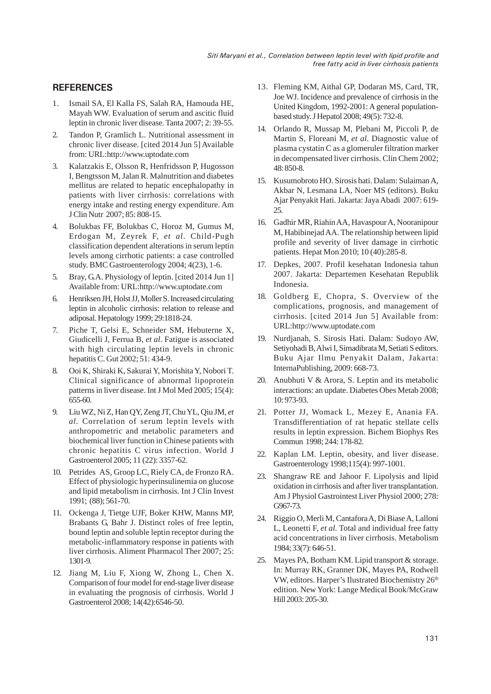## **REFERENCES**

- 1. Ismail SA, El Kalla FS, Salah RA, Hamouda HE, Mayah WW. Evaluation of serum and ascitic fluid leptin in chronic liver disease. Tanta 2007; 2: 39-55.
- 2. Tandon P, Gramlich L. Nutritional assessment in chronic liver disease. [cited 2014 Jun 5] Available from: URL:http://www.uptodate.com
- 3. Kalatzakis E, Olsson R, Henfridsson P, Hugosson I, Bengtsson M, Jalan R. Malnutrition and diabetes mellitus are related to hepatic encephalopathy in patients with liver cirrhosis: correlations with energy intake and resting energy expenditure. Am J Clin Nutr 2007; 85: 808-15.
- 4. Bolukbas FF, Bolukbas C, Horoz M, Gumus M, Erdogan M, Zeyrek F, *et al*. Child-Pugh classification dependent alterations in serum leptin levels among cirrhotic patients: a case controlled study. BMC Gastroenterology 2004; 4(23), 1-6.
- 5. Bray, G.A. Physiology of leptin. [cited 2014 Jun 1] Available from: URL:http://www.uptodate.com
- 6. Henriksen JH, Holst JJ, Moller S. Increased circulating leptin in alcoholic cirrhosis: relation to release and adiposal. Hepatology 1999; 29:1818-24.
- 7. Piche T, Gelsi E, Schneider SM, Hebuterne X, Giudicelli J, Ferrua B, *et al*. Fatigue is associated with high circulating leptin levels in chronic hepatitis C. Gut 2002; 51: 434-9.
- 8. Ooi K, Shiraki K, Sakurai Y, Morishita Y, Nobori T. Clinical significance of abnormal lipoprotein patterns in liver disease. Int J Mol Med 2005; 15(4): 655-60.
- 9. Liu WZ, Ni Z, Han QY, Zeng JT, Chu YL, Qiu JM, *et al.* Correlation of serum leptin levels with anthropometric and metabolic parameters and biochemical liver function in Chinese patients with chronic hepatitis C virus infection. World J Gastroenterol 2005; 11 (22): 3357-62.
- 10. Petrides AS, Groop LC, Riely CA, de Fronzo RA. Effect of physiologic hyperinsulinemia on glucose and lipid metabolism in cirrhosis. Int J Clin Invest 1991; (88); 561-70.
- 11. Ockenga J, Tietge UJF, Boker KHW, Manns MP, Brabants G, Bahr J. Distinct roles of free leptin, bound leptin and soluble leptin receptor during the metabolic-inflammatory response in patients with liver cirrhosis. Aliment Pharmacol Ther 2007; 25: 1301-9.
- 12. Jiang M, Liu F, Xiong W, Zhong L, Chen X. Comparison of four model for end-stage liver disease in evaluating the prognosis of cirrhosis. World J Gastroenterol 2008; 14(42):6546-50.
- 13. Fleming KM, Aithal GP, Dodaran MS, Card, TR, Joe WJ. Incidence and prevalence of cirrhosis in the United Kingdom, 1992-2001: A general populationbased study. J Hepatol 2008; 49(5): 732-8.
- 14. Orlando R, Mussap M, Plebani M, Piccoli P, de Martin S, Floreani M, *et al*. Diagnostic value of plasma cystatin C as a glomeruler filtration marker in decompensated liver cirrhosis. Clin Chem 2002; 48: 850-8.
- 15. Kusumobroto HO. Sirosis hati. Dalam: Sulaiman A, Akbar N, Lesmana LA, Noer MS (editors). Buku Ajar Penyakit Hati. Jakarta: Jaya Abadi 2007: 619- 25.
- 16. Gadhir MR, Riahin AA, Havaspour A, Nooranipour M, Habibinejad AA. The relationship between lipid profile and severity of liver damage in cirrhotic patients. Hepat Mon 2010; 10 (40):285-8.
- 17. Depkes, 2007. Profil kesehatan Indonesia tahun 2007. Jakarta: Departemen Kesehatan Republik Indonesia.
- 18. Goldberg E, Chopra, S. Overview of the complications, prognosis, and management of cirrhosis. [cited 2014 Jun 5] Available from: URL:http://www.uptodate.com
- 19. Nurdjanah, S. Sirosis Hati. Dalam: Sudoyo AW, Setiyohadi B, Alwi I, Simadibrata M, Setiati S editors. Buku Ajar Ilmu Penyakit Dalam, Jakarta: InternaPublishing, 2009: 668-73.
- 20. Anubhuti V & Arora, S. Leptin and its metabolic interactions: an update. Diabetes Obes Metab 2008; 10: 973-93.
- 21. Potter JJ, Womack L, Mezey E, Anania FA. Transdifferentiation of rat hepatic stellate cells results in leptin expression. Bichem Biophys Res Commun 1998; 244: 178-82.
- 22. Kaplan LM. Leptin, obesity, and liver disease. Gastroenterology 1998;115(4): 997-1001.
- 23. Shangraw RE and Jahoor F. Lipolysis and lipid oxidation in cirrhosis and after liver transplantation. Am J Physiol Gastrointest Liver Physiol 2000; 278: G967-73.
- 24. Riggio O, Merli M, Cantafora A, Di Biase A, Lalloni L, Leonetti F, *et al.* Total and individual free fatty acid concentrations in liver cirrhosis. Metabolism 1984; 33(7): 646-51.
- 25. Mayes PA, Botham KM. Lipid transport & storage. In: Murray RK, Granner DK, Mayes PA, Rodwell VW, editors. Harper's Ilustrated Biochemistry 26<sup>th</sup> edition. New York: Lange Medical Book/McGraw Hill 2003: 205-30.